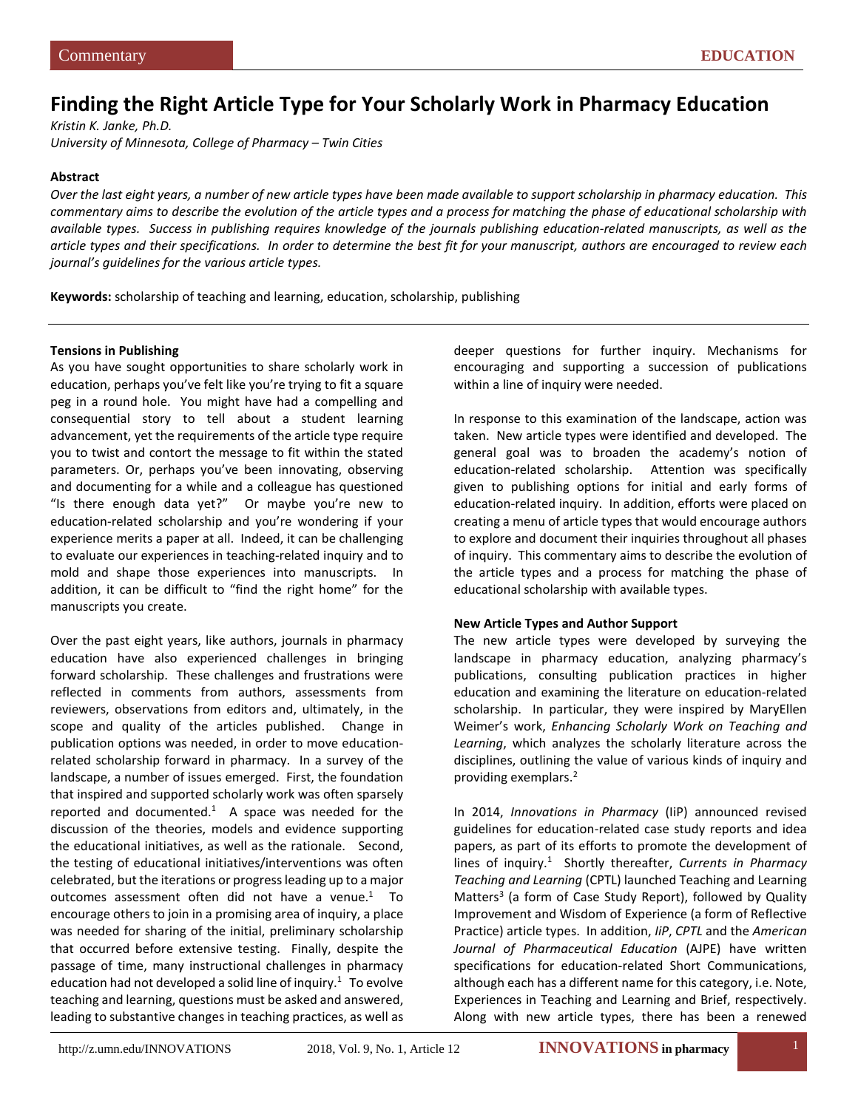# **Finding the Right Article Type for Your Scholarly Work in Pharmacy Education**

*Kristin K. Janke, Ph.D. University of Minnesota, College of Pharmacy – Twin Cities*

### **Abstract**

*Over the last eight years, a number of new article types have been made available to support scholarship in pharmacy education. This commentary aims to describe the evolution of the article types and a process for matching the phase of educational scholarship with available types. Success in publishing requires knowledge of the journals publishing education-related manuscripts, as well as the article types and their specifications. In order to determine the best fit for your manuscript, authors are encouraged to review each journal's guidelines for the various article types.*

**Keywords:** scholarship of teaching and learning, education, scholarship, publishing

#### **Tensions in Publishing**

As you have sought opportunities to share scholarly work in education, perhaps you've felt like you're trying to fit a square peg in a round hole. You might have had a compelling and consequential story to tell about a student learning advancement, yet the requirements of the article type require you to twist and contort the message to fit within the stated parameters. Or, perhaps you've been innovating, observing and documenting for a while and a colleague has questioned "Is there enough data yet?" Or maybe you're new to education-related scholarship and you're wondering if your experience merits a paper at all. Indeed, it can be challenging to evaluate our experiences in teaching-related inquiry and to mold and shape those experiences into manuscripts. In addition, it can be difficult to "find the right home" for the manuscripts you create.

Over the past eight years, like authors, journals in pharmacy education have also experienced challenges in bringing forward scholarship. These challenges and frustrations were reflected in comments from authors, assessments from reviewers, observations from editors and, ultimately, in the scope and quality of the articles published. Change in publication options was needed, in order to move educationrelated scholarship forward in pharmacy. In a survey of the landscape, a number of issues emerged. First, the foundation that inspired and supported scholarly work was often sparsely reported and documented. $<sup>1</sup>$  A space was needed for the</sup> discussion of the theories, models and evidence supporting the educational initiatives, as well as the rationale. Second, the testing of educational initiatives/interventions was often celebrated, but the iterations or progress leading up to a major outcomes assessment often did not have a venue. $1$  To encourage others to join in a promising area of inquiry, a place was needed for sharing of the initial, preliminary scholarship that occurred before extensive testing. Finally, despite the passage of time, many instructional challenges in pharmacy education had not developed a solid line of inquiry.<sup>1</sup> To evolve teaching and learning, questions must be asked and answered, leading to substantive changes in teaching practices, as well as

deeper questions for further inquiry. Mechanisms for encouraging and supporting a succession of publications within a line of inquiry were needed.

In response to this examination of the landscape, action was taken. New article types were identified and developed. The general goal was to broaden the academy's notion of education-related scholarship. Attention was specifically given to publishing options for initial and early forms of education-related inquiry. In addition, efforts were placed on creating a menu of article types that would encourage authors to explore and document their inquiries throughout all phases of inquiry. This commentary aims to describe the evolution of the article types and a process for matching the phase of educational scholarship with available types.

# **New Article Types and Author Support**

The new article types were developed by surveying the landscape in pharmacy education, analyzing pharmacy's publications, consulting publication practices in higher education and examining the literature on education-related scholarship. In particular, they were inspired by MaryEllen Weimer's work, *Enhancing Scholarly Work on Teaching and Learning*, which analyzes the scholarly literature across the disciplines, outlining the value of various kinds of inquiry and providing exemplars.<sup>2</sup>

In 2014, *Innovations in Pharmacy* (IiP) announced revised guidelines for education-related case study reports and idea papers, as part of its efforts to promote the development of lines of inquiry.1 Shortly thereafter, *Currents in Pharmacy Teaching and Learning* (CPTL) launched Teaching and Learning Matters<sup>3</sup> (a form of Case Study Report), followed by Quality Improvement and Wisdom of Experience (a form of Reflective Practice) article types. In addition, *IiP*, *CPTL* and the *American Journal of Pharmaceutical Education* (AJPE) have written specifications for education-related Short Communications, although each has a different name for this category, i.e. Note, Experiences in Teaching and Learning and Brief, respectively. Along with new article types, there has been a renewed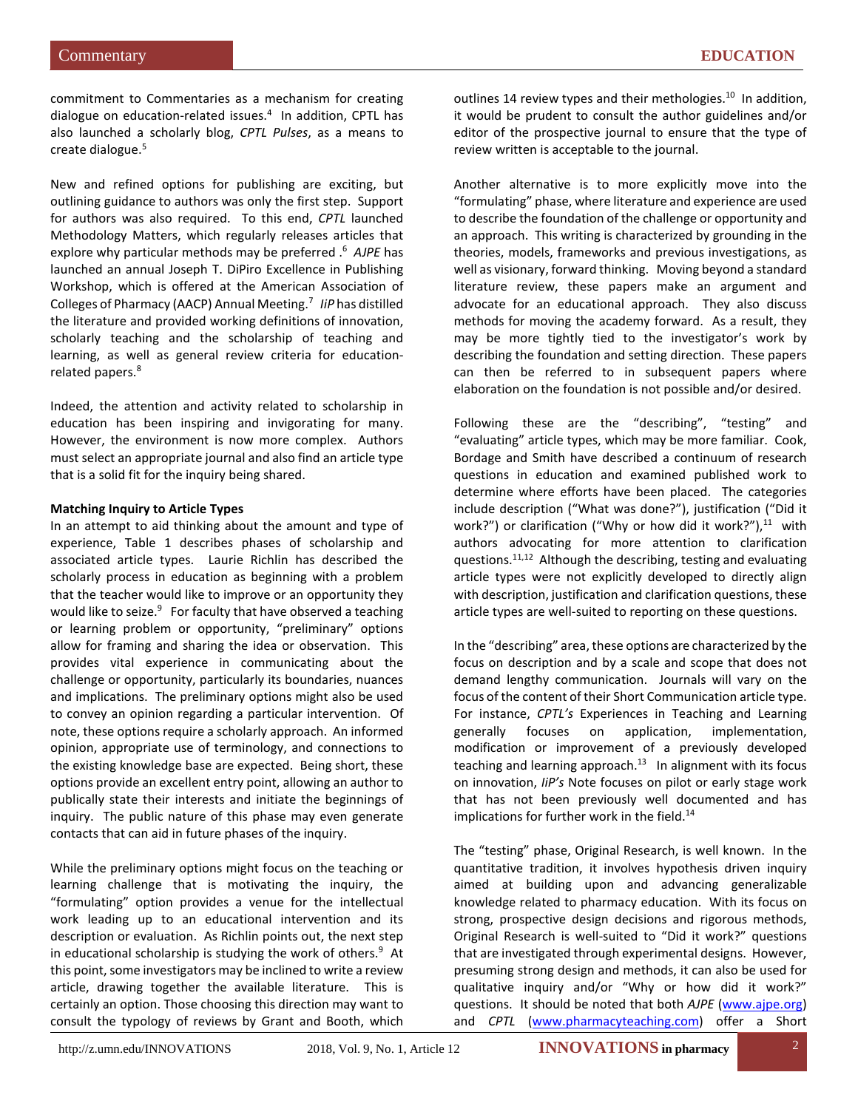commitment to Commentaries as a mechanism for creating dialogue on education-related issues.<sup>4</sup> In addition, CPTL has also launched a scholarly blog, *CPTL Pulses*, as a means to create dialogue.5

New and refined options for publishing are exciting, but outlining guidance to authors was only the first step. Support for authors was also required. To this end, *CPTL* launched Methodology Matters, which regularly releases articles that explore why particular methods may be preferred .6 *AJPE* has launched an annual Joseph T. DiPiro Excellence in Publishing Workshop, which is offered at the American Association of Colleges of Pharmacy (AACP) Annual Meeting.7 *IiP* has distilled the literature and provided working definitions of innovation, scholarly teaching and the scholarship of teaching and learning, as well as general review criteria for educationrelated papers.<sup>8</sup>

Indeed, the attention and activity related to scholarship in education has been inspiring and invigorating for many. However, the environment is now more complex. Authors must select an appropriate journal and also find an article type that is a solid fit for the inquiry being shared.

# **Matching Inquiry to Article Types**

In an attempt to aid thinking about the amount and type of experience, Table 1 describes phases of scholarship and associated article types. Laurie Richlin has described the scholarly process in education as beginning with a problem that the teacher would like to improve or an opportunity they would like to seize.<sup>9</sup> For faculty that have observed a teaching or learning problem or opportunity, "preliminary" options allow for framing and sharing the idea or observation. This provides vital experience in communicating about the challenge or opportunity, particularly its boundaries, nuances and implications. The preliminary options might also be used to convey an opinion regarding a particular intervention. Of note, these options require a scholarly approach. An informed opinion, appropriate use of terminology, and connections to the existing knowledge base are expected. Being short, these options provide an excellent entry point, allowing an author to publically state their interests and initiate the beginnings of inquiry. The public nature of this phase may even generate contacts that can aid in future phases of the inquiry.

While the preliminary options might focus on the teaching or learning challenge that is motivating the inquiry, the "formulating" option provides a venue for the intellectual work leading up to an educational intervention and its description or evaluation. As Richlin points out, the next step in educational scholarship is studying the work of others.<sup>9</sup> At this point, some investigators may be inclined to write a review article, drawing together the available literature. This is certainly an option. Those choosing this direction may want to consult the typology of reviews by Grant and Booth, which

outlines 14 review types and their methologies.<sup>10</sup> In addition, it would be prudent to consult the author guidelines and/or editor of the prospective journal to ensure that the type of review written is acceptable to the journal.

Another alternative is to more explicitly move into the "formulating" phase, where literature and experience are used to describe the foundation of the challenge or opportunity and an approach. This writing is characterized by grounding in the theories, models, frameworks and previous investigations, as well as visionary, forward thinking. Moving beyond a standard literature review, these papers make an argument and advocate for an educational approach. They also discuss methods for moving the academy forward. As a result, they may be more tightly tied to the investigator's work by describing the foundation and setting direction. These papers can then be referred to in subsequent papers where elaboration on the foundation is not possible and/or desired.

Following these are the "describing", "testing" and "evaluating" article types, which may be more familiar. Cook, Bordage and Smith have described a continuum of research questions in education and examined published work to determine where efforts have been placed. The categories include description ("What was done?"), justification ("Did it work?") or clarification ("Why or how did it work?"), $^{11}$  with authors advocating for more attention to clarification questions.<sup>11,12</sup> Although the describing, testing and evaluating article types were not explicitly developed to directly align with description, justification and clarification questions, these article types are well-suited to reporting on these questions.

In the "describing" area, these options are characterized by the focus on description and by a scale and scope that does not demand lengthy communication. Journals will vary on the focus of the content of their Short Communication article type. For instance, *CPTL's* Experiences in Teaching and Learning generally focuses on application, implementation, modification or improvement of a previously developed teaching and learning approach. $13$  In alignment with its focus on innovation, *IiP's* Note focuses on pilot or early stage work that has not been previously well documented and has implications for further work in the field.<sup>14</sup>

The "testing" phase, Original Research, is well known. In the quantitative tradition, it involves hypothesis driven inquiry aimed at building upon and advancing generalizable knowledge related to pharmacy education. With its focus on strong, prospective design decisions and rigorous methods, Original Research is well-suited to "Did it work?" questions that are investigated through experimental designs. However, presuming strong design and methods, it can also be used for qualitative inquiry and/or "Why or how did it work?" questions. It should be noted that both *AJPE* [\(www.ajpe.org\)](http://www.ajpe.org/) and *CPTL* [\(www.pharmacyteaching.com\)](http://www.pharmacyteaching.com/) offer a Short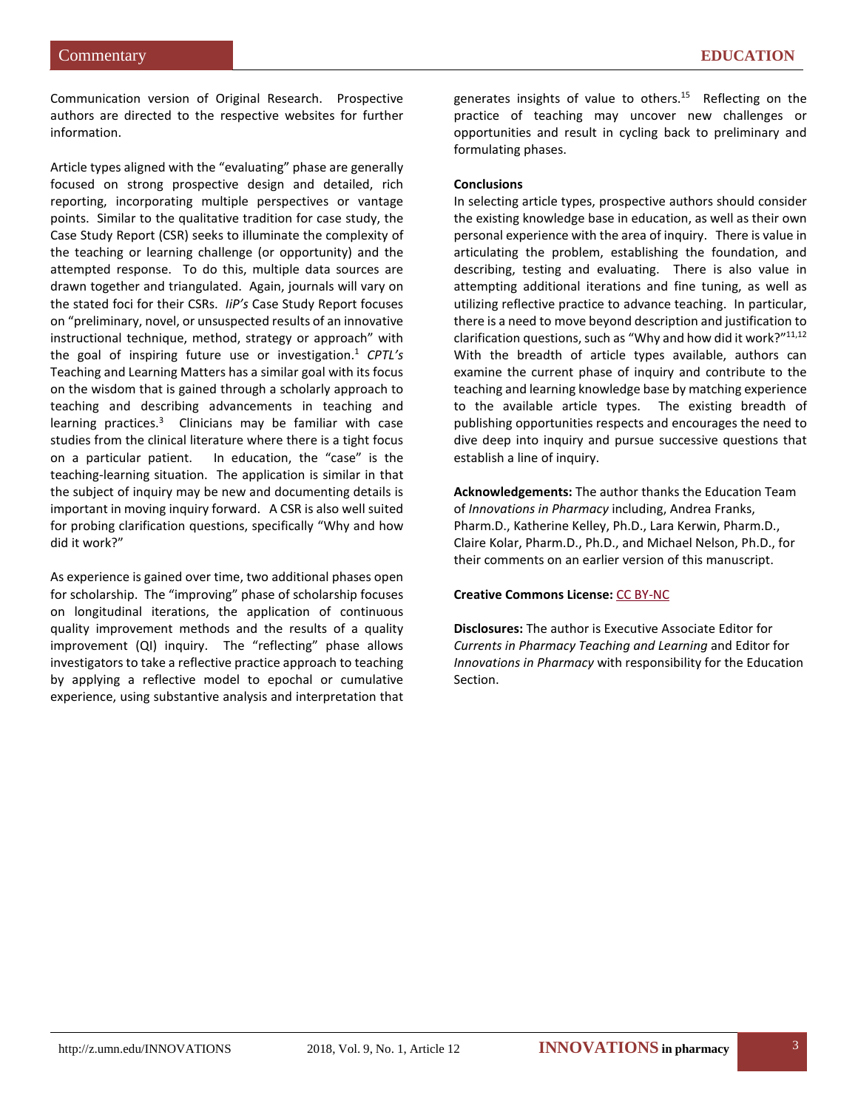Communication version of Original Research. Prospective authors are directed to the respective websites for further information.

Article types aligned with the "evaluating" phase are generally focused on strong prospective design and detailed, rich reporting, incorporating multiple perspectives or vantage points. Similar to the qualitative tradition for case study, the Case Study Report (CSR) seeks to illuminate the complexity of the teaching or learning challenge (or opportunity) and the attempted response. To do this, multiple data sources are drawn together and triangulated. Again, journals will vary on the stated foci for their CSRs. *IiP's* Case Study Report focuses on "preliminary, novel, or unsuspected results of an innovative instructional technique, method, strategy or approach" with the goal of inspiring future use or investigation.1 *CPTL's* Teaching and Learning Matters has a similar goal with its focus on the wisdom that is gained through a scholarly approach to teaching and describing advancements in teaching and learning practices.<sup>3</sup> Clinicians may be familiar with case studies from the clinical literature where there is a tight focus on a particular patient. In education, the "case" is the teaching-learning situation. The application is similar in that the subject of inquiry may be new and documenting details is important in moving inquiry forward. A CSR is also well suited for probing clarification questions, specifically "Why and how did it work?"

As experience is gained over time, two additional phases open for scholarship. The "improving" phase of scholarship focuses on longitudinal iterations, the application of continuous quality improvement methods and the results of a quality improvement (QI) inquiry. The "reflecting" phase allows investigators to take a reflective practice approach to teaching by applying a reflective model to epochal or cumulative experience, using substantive analysis and interpretation that

generates insights of value to others.<sup>15</sup> Reflecting on the practice of teaching may uncover new challenges or opportunities and result in cycling back to preliminary and formulating phases.

### **Conclusions**

In selecting article types, prospective authors should consider the existing knowledge base in education, as well as their own personal experience with the area of inquiry. There is value in articulating the problem, establishing the foundation, and describing, testing and evaluating. There is also value in attempting additional iterations and fine tuning, as well as utilizing reflective practice to advance teaching. In particular, there is a need to move beyond description and justification to clarification questions, such as "Why and how did it work?"<sup>11,12</sup> With the breadth of article types available, authors can examine the current phase of inquiry and contribute to the teaching and learning knowledge base by matching experience to the available article types. The existing breadth of publishing opportunities respects and encourages the need to dive deep into inquiry and pursue successive questions that establish a line of inquiry.

**Acknowledgements:** The author thanks the Education Team of *Innovations in Pharmacy* including, Andrea Franks, Pharm.D., Katherine Kelley, Ph.D., Lara Kerwin, Pharm.D., Claire Kolar, Pharm.D., Ph.D., and Michael Nelson, Ph.D., for their comments on an earlier version of this manuscript.

# **Creative Commons License:** [CC BY-NC](https://creativecommons.org/licenses/by-nc/4.0)

**Disclosures:** The author is Executive Associate Editor for *Currents in Pharmacy Teaching and Learning* and Editor for *Innovations in Pharmacy* with responsibility for the Education Section.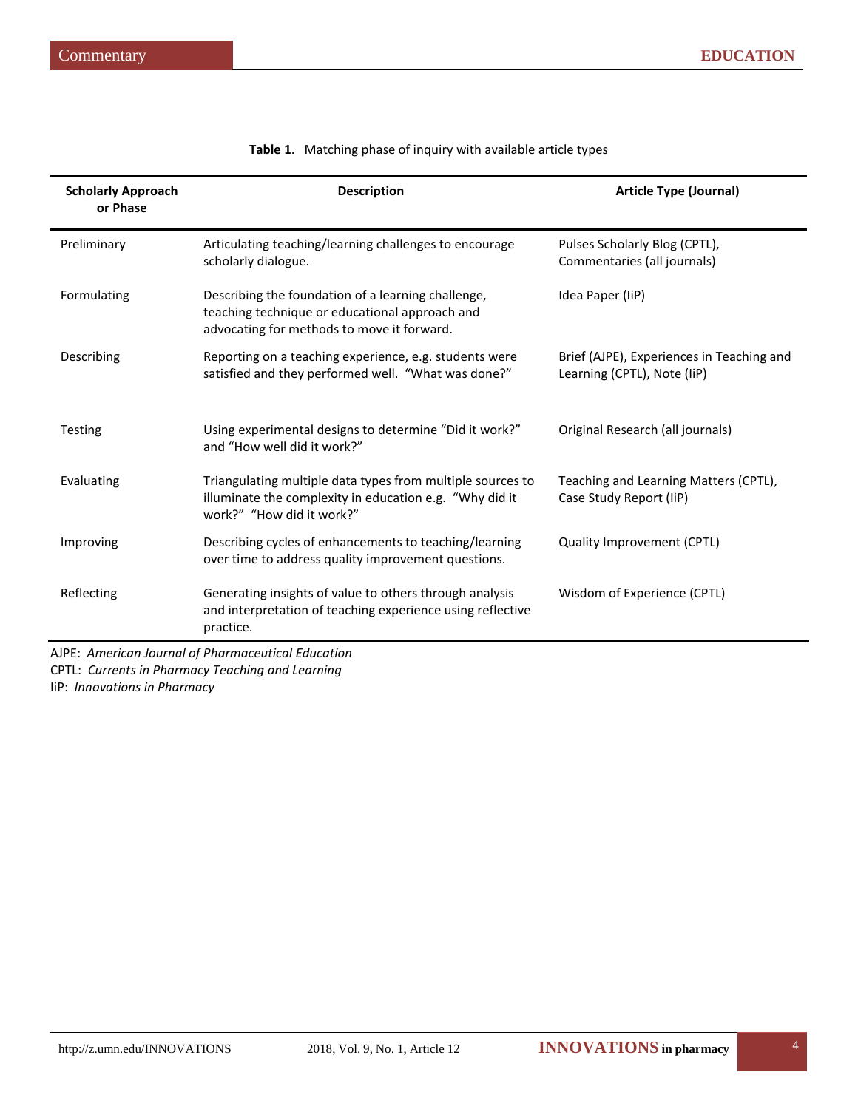| <b>Scholarly Approach</b><br>or Phase | <b>Description</b>                                                                                                                                                     | <b>Article Type (Journal)</b>                                            |  |
|---------------------------------------|------------------------------------------------------------------------------------------------------------------------------------------------------------------------|--------------------------------------------------------------------------|--|
| Preliminary                           | Articulating teaching/learning challenges to encourage<br>scholarly dialogue.                                                                                          | Pulses Scholarly Blog (CPTL),<br>Commentaries (all journals)             |  |
| Formulating                           | Idea Paper (IiP)<br>Describing the foundation of a learning challenge,<br>teaching technique or educational approach and<br>advocating for methods to move it forward. |                                                                          |  |
| Describing                            | Reporting on a teaching experience, e.g. students were<br>satisfied and they performed well. "What was done?"                                                          | Brief (AJPE), Experiences in Teaching and<br>Learning (CPTL), Note (IiP) |  |
| <b>Testing</b>                        | Using experimental designs to determine "Did it work?"<br>Original Research (all journals)<br>and "How well did it work?"                                              |                                                                          |  |
| Evaluating                            | Triangulating multiple data types from multiple sources to<br>illuminate the complexity in education e.g. "Why did it<br>work?" "How did it work?"                     | Teaching and Learning Matters (CPTL),<br>Case Study Report (IiP)         |  |
| Improving                             | Describing cycles of enhancements to teaching/learning<br>over time to address quality improvement questions.                                                          | Quality Improvement (CPTL)                                               |  |
| Reflecting                            | Generating insights of value to others through analysis<br>and interpretation of teaching experience using reflective<br>practice.                                     | Wisdom of Experience (CPTL)                                              |  |

|  |  |  | Table 1. Matching phase of inquiry with available article types |
|--|--|--|-----------------------------------------------------------------|
|--|--|--|-----------------------------------------------------------------|

AJPE: *American Journal of Pharmaceutical Education* CPTL: *Currents in Pharmacy Teaching and Learning* IiP: *Innovations in Pharmacy*